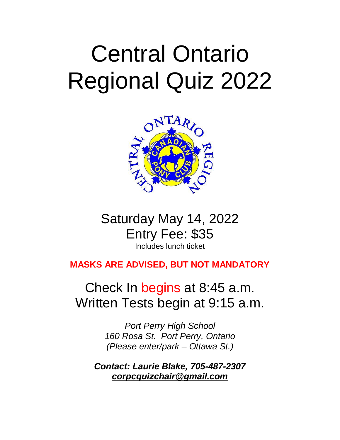# Central Ontario Regional Quiz 2022



# Saturday May 14, 2022 Entry Fee: \$35 Includes lunch ticket

# **MASKS ARE ADVISED, BUT NOT MANDATORY**

# Check In begins at 8:45 a.m. Written Tests begin at 9:15 a.m.

*Port Perry High School 160 Rosa St. Port Perry, Ontario (Please enter/park – Ottawa St.)*

*Contact: Laurie Blake, 705-487-2307 corpcquizchair@gmail.com*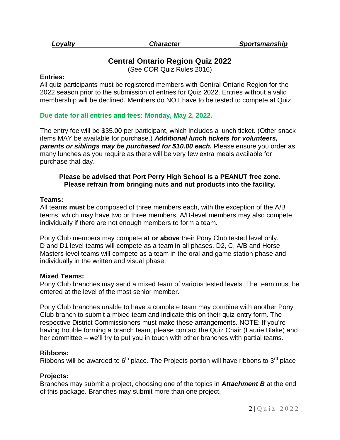# **Central Ontario Region Quiz 2022**

(See COR Quiz Rules 2016)

#### **Entries:**

All quiz participants must be registered members with Central Ontario Region for the 2022 season prior to the submission of entries for Quiz 2022. Entries without a valid membership will be declined. Members do NOT have to be tested to compete at Quiz.

# **Due date for all entries and fees: Monday, May 2, 2022.**

The entry fee will be \$35.00 per participant, which includes a lunch ticket. (Other snack items MAY be available for purchase.) *Additional lunch tickets for volunteers,*  **parents or siblings may be purchased for \$10.00 each.** Please ensure you order as many lunches as you require as there will be very few extra meals available for purchase that day.

### **Please be advised that Port Perry High School is a PEANUT free zone. Please refrain from bringing nuts and nut products into the facility.**

#### **Teams:**

All teams **must** be composed of three members each, with the exception of the A/B teams, which may have two or three members. A/B-level members may also compete individually if there are not enough members to form a team.

Pony Club members may compete **at or above** their Pony Club tested level only. D and D1 level teams will compete as a team in all phases. D2, C, A/B and Horse Masters level teams will compete as a team in the oral and game station phase and individually in the written and visual phase.

#### **Mixed Teams:**

Pony Club branches may send a mixed team of various tested levels. The team must be entered at the level of the most senior member.

Pony Club branches unable to have a complete team may combine with another Pony Club branch to submit a mixed team and indicate this on their quiz entry form. The respective District Commissioners must make these arrangements. NOTE: If you're having trouble forming a branch team, please contact the Quiz Chair (Laurie Blake) and her committee – we'll try to put you in touch with other branches with partial teams.

# **Ribbons:**

Ribbons will be awarded to  $6<sup>th</sup>$  place. The Projects portion will have ribbons to 3<sup>rd</sup> place

# **Projects:**

Branches may submit a project, choosing one of the topics in *Attachment B* at the end of this package. Branches may submit more than one project.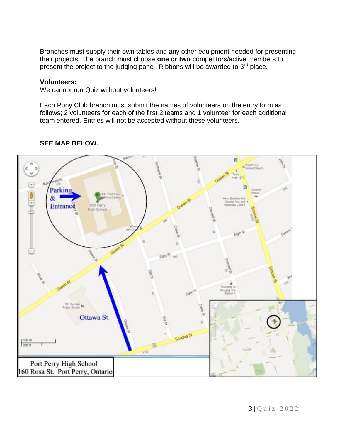Branches must supply their own tables and any other equipment needed for presenting their projects. The branch must choose **one or two** competitors/active members to present the project to the judging panel. Ribbons will be awarded to 3<sup>rd</sup> place.

# **Volunteers:**

We cannot run Quiz without volunteers!

Each Pony Club branch must submit the names of volunteers on the entry form as follows; 2 volunteers for each of the first 2 teams and 1 volunteer for each additional team entered. Entries will not be accepted without these volunteers.



# **SEE MAP BELOW.**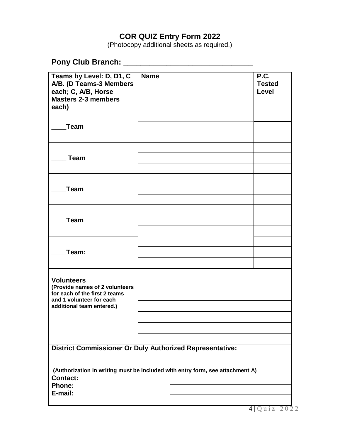# **COR QUIZ Entry Form 2022**

(Photocopy additional sheets as required.)

# **Pony Club Branch: \_\_\_\_\_\_\_\_\_\_\_\_\_\_\_\_\_\_\_\_\_\_\_\_\_\_\_\_\_\_**

| Teams by Level: D, D1, C<br>A/B. (D Teams-3 Members<br>each; C, A/B, Horse                       | <b>Name</b> |  | P.C.<br><b>Tested</b><br><b>Level</b> |  |  |  |
|--------------------------------------------------------------------------------------------------|-------------|--|---------------------------------------|--|--|--|
| <b>Masters 2-3 members</b><br>each)                                                              |             |  |                                       |  |  |  |
|                                                                                                  |             |  |                                       |  |  |  |
| <b>Team</b>                                                                                      |             |  |                                       |  |  |  |
|                                                                                                  |             |  |                                       |  |  |  |
|                                                                                                  |             |  |                                       |  |  |  |
| <b>Team</b>                                                                                      |             |  |                                       |  |  |  |
|                                                                                                  |             |  |                                       |  |  |  |
|                                                                                                  |             |  |                                       |  |  |  |
| <b>Team</b>                                                                                      |             |  |                                       |  |  |  |
|                                                                                                  |             |  |                                       |  |  |  |
| <b>Team</b>                                                                                      |             |  |                                       |  |  |  |
|                                                                                                  |             |  |                                       |  |  |  |
|                                                                                                  |             |  |                                       |  |  |  |
| Team:                                                                                            |             |  |                                       |  |  |  |
|                                                                                                  |             |  |                                       |  |  |  |
|                                                                                                  |             |  |                                       |  |  |  |
| <b>Volunteers</b><br>(Provide names of 2 volunteers                                              |             |  |                                       |  |  |  |
| for each of the first 2 teams<br>and 1 volunteer for each                                        |             |  |                                       |  |  |  |
| additional team entered.)                                                                        |             |  |                                       |  |  |  |
|                                                                                                  |             |  |                                       |  |  |  |
|                                                                                                  |             |  |                                       |  |  |  |
|                                                                                                  |             |  |                                       |  |  |  |
| <b>District Commissioner Or Duly Authorized Representative:</b>                                  |             |  |                                       |  |  |  |
|                                                                                                  |             |  |                                       |  |  |  |
| (Authorization in writing must be included with entry form, see attachment A)<br><b>Contact:</b> |             |  |                                       |  |  |  |
| <b>Phone:</b>                                                                                    |             |  |                                       |  |  |  |
| E-mail:                                                                                          |             |  |                                       |  |  |  |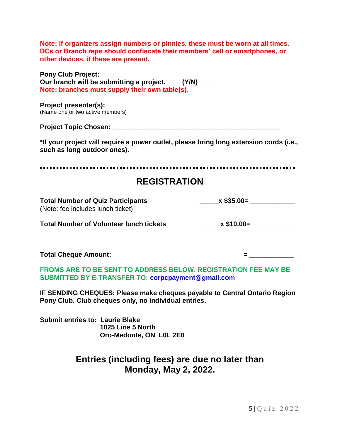| Note: If organizers assign numbers or pinnies, these must be worn at all times.<br>DCs or Branch reps should confiscate their members' cell or smartphones, or<br>other devices, if these are present. |                                                                                               |
|--------------------------------------------------------------------------------------------------------------------------------------------------------------------------------------------------------|-----------------------------------------------------------------------------------------------|
| <b>Pony Club Project:</b><br>Our branch will be submitting a project. (Y/N)_____<br>Note: branches must supply their own table(s).                                                                     |                                                                                               |
| (Name one or two active members)                                                                                                                                                                       |                                                                                               |
|                                                                                                                                                                                                        |                                                                                               |
| *If your project will require a power outlet, please bring long extension cords (i.e.,<br>such as long outdoor ones).                                                                                  |                                                                                               |
| <b>REGISTRATION</b>                                                                                                                                                                                    |                                                                                               |
|                                                                                                                                                                                                        |                                                                                               |
| <b>Total Number of Quiz Participants</b><br>(Note: fee includes lunch ticket)                                                                                                                          | $x$ \$35.00=                                                                                  |
| <b>Total Number of Volunteer lunch tickets</b>                                                                                                                                                         |                                                                                               |
| <b>Total Cheque Amount:</b>                                                                                                                                                                            | $= \underbrace{\qquad \qquad }_{\qquad \qquad }=\underbrace{\qquad \qquad }_{\qquad \qquad }$ |
| <b>FROMS ARE TO BE SENT TO ADDRESS BELOW. REGISTRATION FEE MAY BE</b><br>SUBMITTED BY E-TRANSFER TO: corpcpayment@gmail.com                                                                            |                                                                                               |
| IF SENDING CHEQUES: Please make cheques payable to Central Ontario Region<br>Pony Club. Club cheques only, no individual entries.                                                                      |                                                                                               |

**Submit entries to: Laurie Blake 1025 Line 5 North Oro-Medonte, ON L0L 2E0**

# **Entries (including fees) are due no later than Monday, May 2, 2022.**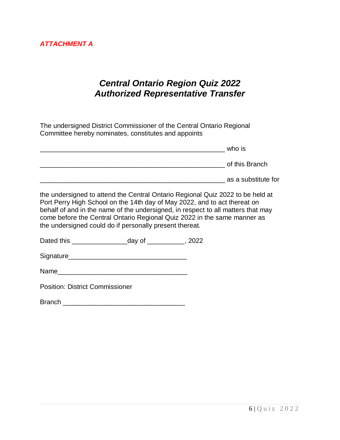# *Central Ontario Region Quiz 2022 Authorized Representative Transfer*

The undersigned District Commissioner of the Central Ontario Regional Committee hereby nominates, constitutes and appoints

| who is              |
|---------------------|
| of this Branch      |
| as a substitute for |

the undersigned to attend the Central Ontario Regional Quiz 2022 to be held at Port Perry High School on the 14th day of May 2022, and to act thereat on behalf of and in the name of the undersigned, in respect to all matters that may come before the Central Ontario Regional Quiz 2022 in the same manner as the undersigned could do if personally present thereat.

Dated this \_\_\_\_\_\_\_\_\_\_\_\_\_\_\_day of \_\_\_\_\_\_\_\_\_\_, 2022

Signature\_\_\_\_\_\_\_\_\_\_\_\_\_\_\_\_\_\_\_\_\_\_\_\_\_\_\_\_\_\_\_\_

Name\_\_\_\_\_\_\_\_\_\_\_\_\_\_\_\_\_\_\_\_\_\_\_\_\_\_\_\_\_\_\_\_\_\_\_

Position: District Commissioner

| <b>Branch</b> |  |  |
|---------------|--|--|
|               |  |  |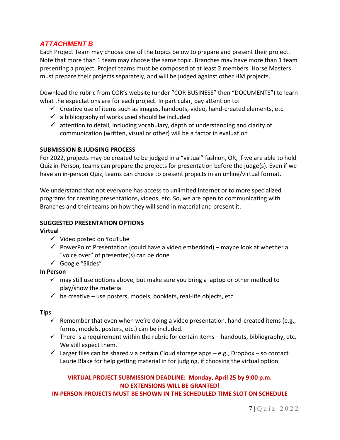# *ATTACHMENT B*

Each Project Team may choose one of the topics below to prepare and present their project. Note that more than 1 team may choose the same topic. Branches may have more than 1 team presenting a project. Project teams must be composed of at least 2 members. Horse Masters must prepare their projects separately, and will be judged against other HM projects.

Download the rubric from COR's website (under "COR BUSINESS" then "DOCUMENTS") to learn what the expectations are for each project. In particular, pay attention to:

- $\checkmark$  Creative use of items such as images, handouts, video, hand-created elements, etc.
- $\checkmark$  a bibliography of works used should be included
- $\checkmark$  attention to detail, including vocabulary, depth of understanding and clarity of communication (written, visual or other) will be a factor in evaluation

# **SUBMISSION & JUDGING PROCESS**

For 2022, projects may be created to be judged in a "virtual" fashion, OR, if we are able to hold Quiz in-Person, teams can prepare the projects for presentation before the judge(s). Even if we have an in-person Quiz, teams can choose to present projects in an online/virtual format.

We understand that not everyone has access to unlimited Internet or to more specialized programs for creating presentations, videos, etc. So, we are open to communicating with Branches and their teams on how they will send in material and present it.

# **SUGGESTED PRESENTATION OPTIONS**

**Virtual**

- $\checkmark$  Video posted on YouTube
- $\checkmark$  PowerPoint Presentation (could have a video embedded) maybe look at whether a "voice over" of presenter(s) can be done
- $\checkmark$  Google "Slides"

# **In Person**

- $\checkmark$  may still use options above, but make sure you bring a laptop or other method to play/show the material
- $\checkmark$  be creative use posters, models, booklets, real-life objects, etc.

# **Tips**

- $\checkmark$  Remember that even when we're doing a video presentation, hand-created items (e.g., forms, models, posters, etc.) can be included.
- $\checkmark$  There is a requirement within the rubric for certain items handouts, bibliography, etc. We still expect them.
- $\checkmark$  Larger files can be shared via certain Cloud storage apps e.g., Dropbox so contact Laurie Blake for help getting material in for judging, if choosing the virtual option.

# **VIRTUAL PROJECT SUBMISSION DEADLINE: Monday, April 25 by 9:00 p.m. NO EXTENSIONS WILL BE GRANTED!**

# **IN-PERSON PROJECTS MUST BE SHOWN IN THE SCHEDULED TIME SLOT ON SCHEDULE**